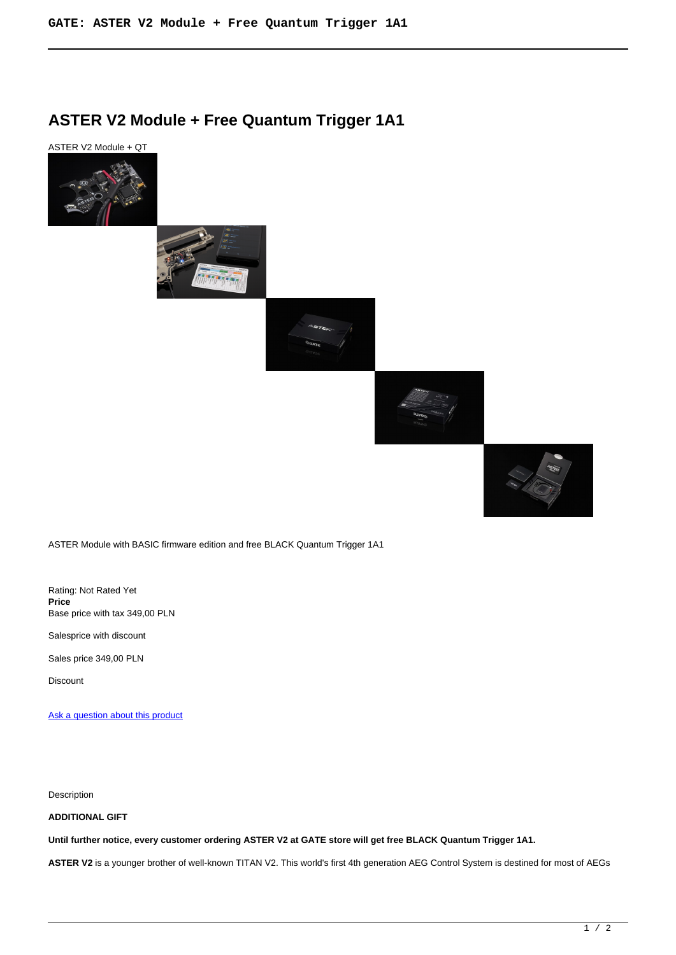# **ASTER V2 Module + Free Quantum Trigger 1A1**

ASTER V2 Module + QT











ASTER Module with BASIC firmware edition and free BLACK Quantum Trigger 1A1

Rating: Not Rated Yet **Price**  Base price with tax 349,00 PLN

Salesprice with discount

Sales price 349,00 PLN

Discount

[Ask a question about this product](https://gatee.eu/index.php?option=com_virtuemart&view=productdetails&task=askquestion&virtuemart_product_id=52&virtuemart_category_id=1&tmpl=component)

Description

## **ADDITIONAL GIFT**

**Until further notice, every customer ordering ASTER V2 at GATE store will get free BLACK Quantum Trigger 1A1.**

**ASTER V2** is a younger brother of well-known TITAN V2. This world's first 4th generation AEG Control System is destined for most of AEGs